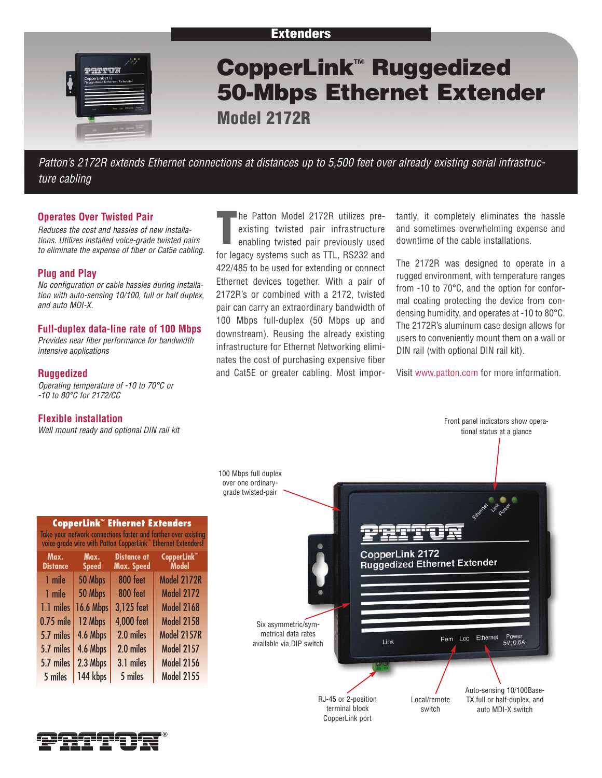

*Patton's 2172R extends Ethernet connections at distances up to 5,500 feet over already existing serial infrastructure cabling*

# **Operates Over Twisted Pair**

*Reduces the cost and hassles of new installations. Utilizes installed voice-grade twisted pairs to eliminate the expense of fiber or Cat5e cabling.*

## **Plug and Play**

*No configuration or cable hassles during installation with auto-sensing 10/100, full or half duplex, and auto MDI-X.*

# **Full-duplex data-line rate of 100 Mbps**

*Provides near fiber performance for bandwidth intensive applications*

## **Ruggedized**

*Operating temperature of -10 to 70°C or -10 to 80°C for 2172/CC*

## **Flexible installation**

*Wall mount ready and optional DIN rail kit*

**T** he Patton Model 2172R utilizes preexisting twisted pair infrastructure enabling twisted pair previously used for legacy systems such as TTL, RS232 and 422/485 to be used for extending or connect Ethernet devices together. With a pair of 2172R's or combined with a 2172, twisted pair can carry an extraordinary bandwidth of 100 Mbps full-duplex (50 Mbps up and downstream). Reusing the already existing infrastructure for Ethernet Networking eliminates the cost of purchasing expensive fiber and Cat5E or greater cabling. Most impor-

tantly, it completely eliminates the hassle and sometimes overwhelming expense and downtime of the cable installations.

The 2172R was designed to operate in a rugged environment, with temperature ranges from -10 to 70°C, and the option for conformal coating protecting the device from condensing humidity, and operates at -10 to 80°C. The 2172R's aluminum case design allows for users to conveniently mount them on a wall or DIN rail (with optional DIN rail kit).

Visit www.patton.com for more information.



| Take your network connections faster and farther over existing<br>voice-grade wire with Patton CopperLink <sup>"</sup> Ethernet Extenders! |                      |                                  |                                         |  |
|--------------------------------------------------------------------------------------------------------------------------------------------|----------------------|----------------------------------|-----------------------------------------|--|
| Max.<br><b>Distance</b>                                                                                                                    | Max.<br><b>Speed</b> | <b>Distance at</b><br>Max. Speed | CopperLink <sup>™</sup><br><b>Model</b> |  |
| 1 mile                                                                                                                                     | 50 Mbps              | 800 feet                         | <b>Model 2172R</b>                      |  |
| 1 mile                                                                                                                                     | 50 Mbps              | 800 feet                         | <b>Model 2172</b>                       |  |
| 1.1 miles                                                                                                                                  | <b>16.6 Mbps</b>     | 3,125 feet                       | <b>Model 2168</b>                       |  |
| 0.75 mile                                                                                                                                  | 12 Mbps              | <b>4,000 feet</b>                | <b>Model 2158</b>                       |  |
| 5.7 miles                                                                                                                                  | 4.6 Mbps             | 2.0 miles                        | <b>Model 2157R</b>                      |  |
| 5.7 miles                                                                                                                                  | 4.6 Mbps             | 2.0 miles                        | <b>Model 2157</b>                       |  |
| 5.7 miles                                                                                                                                  | 2.3 Mbps             | 3.1 miles                        | <b>Model 2156</b>                       |  |
| 5 miles                                                                                                                                    | 144 kbps             | 5 miles                          | <b>Model 2155</b>                       |  |